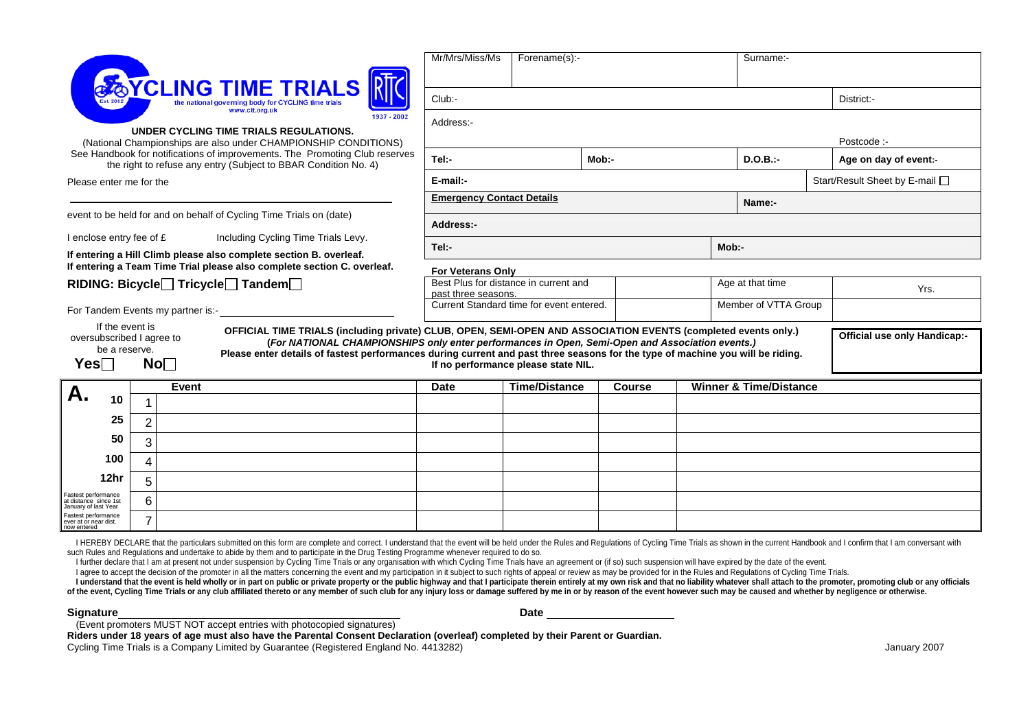| CLING TIME TRIALS<br>www.ctt.org.uk<br>1937 - 2002<br>UNDER CYCLING TIME TRIALS REGULATIONS.<br>(National Championships are also under CHAMPIONSHIP CONDITIONS)<br>See Handbook for notifications of improvements. The Promoting Club reserves<br>the right to refuse any entry (Subject to BBAR Condition No. 4) |                                   |       |                                     | Mr/Mrs/Miss/Ms<br>Forename(s):-                                                                                                                                                                                                                                                                                                                                                            |                                                                 |  |  | Surname:-                         |                      |                                |             |  |
|-------------------------------------------------------------------------------------------------------------------------------------------------------------------------------------------------------------------------------------------------------------------------------------------------------------------|-----------------------------------|-------|-------------------------------------|--------------------------------------------------------------------------------------------------------------------------------------------------------------------------------------------------------------------------------------------------------------------------------------------------------------------------------------------------------------------------------------------|-----------------------------------------------------------------|--|--|-----------------------------------|----------------------|--------------------------------|-------------|--|
|                                                                                                                                                                                                                                                                                                                   |                                   |       |                                     | Club:-                                                                                                                                                                                                                                                                                                                                                                                     |                                                                 |  |  |                                   | District:-           |                                |             |  |
|                                                                                                                                                                                                                                                                                                                   |                                   |       |                                     | Address:-                                                                                                                                                                                                                                                                                                                                                                                  |                                                                 |  |  |                                   |                      |                                |             |  |
|                                                                                                                                                                                                                                                                                                                   |                                   |       |                                     |                                                                                                                                                                                                                                                                                                                                                                                            |                                                                 |  |  |                                   |                      |                                | Postcode :- |  |
|                                                                                                                                                                                                                                                                                                                   |                                   |       |                                     | Tel:-<br>Mob:-                                                                                                                                                                                                                                                                                                                                                                             |                                                                 |  |  | $D.O.B.$ :-                       |                      | Age on day of event:-          |             |  |
| Please enter me for the                                                                                                                                                                                                                                                                                           |                                   |       |                                     | E-mail:-                                                                                                                                                                                                                                                                                                                                                                                   |                                                                 |  |  |                                   |                      | Start/Result Sheet by E-mail □ |             |  |
|                                                                                                                                                                                                                                                                                                                   |                                   |       |                                     |                                                                                                                                                                                                                                                                                                                                                                                            | <b>Emergency Contact Details</b>                                |  |  |                                   | Name:-               |                                |             |  |
| event to be held for and on behalf of Cycling Time Trials on (date)                                                                                                                                                                                                                                               |                                   |       |                                     | Address:-                                                                                                                                                                                                                                                                                                                                                                                  |                                                                 |  |  |                                   |                      |                                |             |  |
| I enclose entry fee of £                                                                                                                                                                                                                                                                                          |                                   |       | Including Cycling Time Trials Levy. | Tel:-                                                                                                                                                                                                                                                                                                                                                                                      |                                                                 |  |  | $Mob:$ -                          |                      |                                |             |  |
| If entering a Hill Climb please also complete section B. overleaf.<br>If entering a Team Time Trial please also complete section C. overleaf.                                                                                                                                                                     |                                   |       |                                     | <b>For Veterans Only</b>                                                                                                                                                                                                                                                                                                                                                                   |                                                                 |  |  |                                   |                      |                                |             |  |
| RIDING: Bicycle Tricycle Tandem                                                                                                                                                                                                                                                                                   |                                   |       |                                     | Best Plus for distance in current and                                                                                                                                                                                                                                                                                                                                                      |                                                                 |  |  |                                   | Age at that time     |                                | Yrs.        |  |
|                                                                                                                                                                                                                                                                                                                   | For Tandem Events my partner is:- |       |                                     |                                                                                                                                                                                                                                                                                                                                                                                            | past three seasons.<br>Current Standard time for event entered. |  |  |                                   | Member of VTTA Group |                                |             |  |
| If the event is<br>oversubscribed I agree to<br>be a reserve.<br>$Yes\Box$<br>No <sub>1</sub>                                                                                                                                                                                                                     |                                   |       |                                     | OFFICIAL TIME TRIALS (including private) CLUB, OPEN, SEMI-OPEN AND ASSOCIATION EVENTS (completed events only.)<br>(For NATIONAL CHAMPIONSHIPS only enter performances in Open, Semi-Open and Association events.)<br>Please enter details of fastest performances during current and past three seasons for the type of machine you will be riding.<br>If no performance please state NIL. |                                                                 |  |  |                                   |                      | Official use only Handicap:-   |             |  |
|                                                                                                                                                                                                                                                                                                                   |                                   | Event |                                     | Time/Distance<br><b>Date</b><br><b>Course</b>                                                                                                                                                                                                                                                                                                                                              |                                                                 |  |  | <b>Winner &amp; Time/Distance</b> |                      |                                |             |  |
| 10                                                                                                                                                                                                                                                                                                                |                                   |       |                                     |                                                                                                                                                                                                                                                                                                                                                                                            |                                                                 |  |  |                                   |                      |                                |             |  |
| 25                                                                                                                                                                                                                                                                                                                | $\overline{2}$                    |       |                                     |                                                                                                                                                                                                                                                                                                                                                                                            |                                                                 |  |  |                                   |                      |                                |             |  |
| 50                                                                                                                                                                                                                                                                                                                | 3                                 |       |                                     |                                                                                                                                                                                                                                                                                                                                                                                            |                                                                 |  |  |                                   |                      |                                |             |  |
| 100                                                                                                                                                                                                                                                                                                               | 4                                 |       |                                     |                                                                                                                                                                                                                                                                                                                                                                                            |                                                                 |  |  |                                   |                      |                                |             |  |
| 12hr                                                                                                                                                                                                                                                                                                              | 5                                 |       |                                     |                                                                                                                                                                                                                                                                                                                                                                                            |                                                                 |  |  |                                   |                      |                                |             |  |
| Fastest performance<br>at distance since 1st                                                                                                                                                                                                                                                                      | 6                                 |       |                                     |                                                                                                                                                                                                                                                                                                                                                                                            |                                                                 |  |  |                                   |                      |                                |             |  |
| January of last Year<br>Fastest performance<br>ever at or near dist.<br>now entered                                                                                                                                                                                                                               | $\overline{ }$                    |       |                                     |                                                                                                                                                                                                                                                                                                                                                                                            |                                                                 |  |  |                                   |                      |                                |             |  |

I HEREBY DECLARE that the particulars submitted on this form are complete and correct. I understand that the event will be held under the Rules and Regulations of Cycling Time Trials as shown in the current Handbook and I such Rules and Regulations and undertake to abide by them and to participate in the Drug Testing Programme whenever required to do so.

I further declare that I am at present not under suspension by Cycling Time Trials or any organisation with which Cycling Time Trials have an agreement or (if so) such suspension will have expired by the date of the event.

I agree to accept the decision of the promoter in all the matters concerning the event and my participation in it subject to such rights of appeal or review as may be provided for in the Rules and Regulations of Cycling Ti

I understand that the event is held wholly or in part on public or private property or the public highway and that I participate therein entirely at my own risk and that no liability whatever shall attach to the promoter, of the event, Cycling Time Trials or any club affiliated thereto or any member of such club for any injury loss or damage suffered by me in or by reason of the event however such may be caused and whether by negligence or

**Signature** Date **Date 2018 Date 2018 Date 2018 Date 2018 Date 2018 Date** 2019 **Date** 

(Event promoters MUST NOT accept entries with photocopied signatures)

**Riders under 18 years of age must also have the Parental Consent Declaration (overleaf) completed by their Parent or Guardian.**  Cycling Time Trials is a Company Limited by Guarantee (Registered England No. 4413282) Cycling Time Trials is a Company Limited by Guarantee (Registered England No. 4413282)